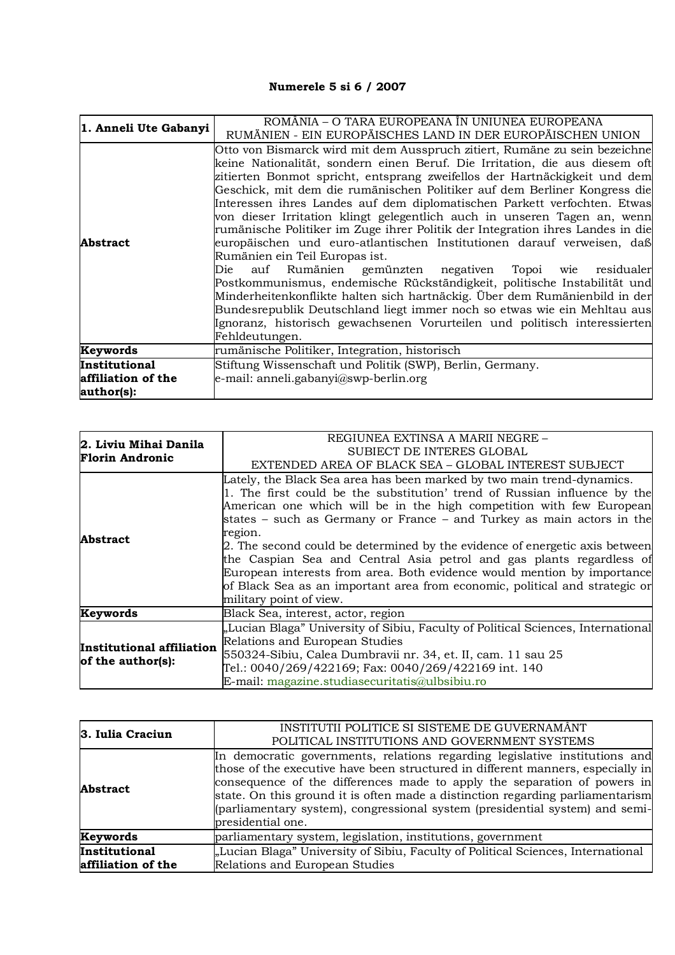## **Numerele 5 si 6 / 2007**

| 1. Anneli Ute Gabanyi | ROMÂNIA - O TARA EUROPEANA ÎN UNIUNEA EUROPEANA                                |
|-----------------------|--------------------------------------------------------------------------------|
|                       | RUMÄNIEN - EIN EUROPÄISCHES LAND IN DER EUROPÄISCHEN UNION                     |
|                       | Otto von Bismarck wird mit dem Ausspruch zitiert, Rumäne zu sein bezeichne     |
|                       | keine Nationalität, sondern einen Beruf. Die Irritation, die aus diesem oft    |
|                       | zitierten Bonmot spricht, entsprang zweifellos der Hartnäckigkeit und dem      |
|                       | Geschick, mit dem die rumänischen Politiker auf dem Berliner Kongress die      |
|                       | Interessen ihres Landes auf dem diplomatischen Parkett verfochten. Etwas       |
| <b>Abstract</b>       | von dieser Irritation klingt gelegentlich auch in unseren Tagen an, wenn       |
|                       | rumänische Politiker im Zuge ihrer Politik der Integration ihres Landes in die |
|                       | europäischen und euro-atlantischen Institutionen darauf verweisen, daß         |
|                       | Rumänien ein Teil Europas ist.                                                 |
|                       | auf Rumänien gemünzten negativen Topoi wie residualer<br>Die                   |
|                       | Postkommunismus, endemische Rückständigkeit, politische Instabilität und       |
|                       | Minderheitenkonflikte halten sich hartnäckig. Über dem Rumänienbild in der     |
|                       | Bundesrepublik Deutschland liegt immer noch so etwas wie ein Mehltau aus       |
|                       | Ignoranz, historisch gewachsenen Vorurteilen und politisch interessierten      |
|                       | Fehldeutungen.                                                                 |
| Keywords              | rumänische Politiker, Integration, historisch                                  |
| Institutional         | Stiftung Wissenschaft und Politik (SWP), Berlin, Germany.                      |
| affiliation of the    | e-mail: anneli.gabanyi@swp-berlin.org                                          |
| author(s):            |                                                                                |

| 2. Liviu Mihai Danila<br><b>Florin Andronic</b> | REGIUNEA EXTINSA A MARII NEGRE -<br>SUBIECT DE INTERES GLOBAL                                                                                                                                                                                                                                                                                                                                                                                                                                                                                                                                                                                               |
|-------------------------------------------------|-------------------------------------------------------------------------------------------------------------------------------------------------------------------------------------------------------------------------------------------------------------------------------------------------------------------------------------------------------------------------------------------------------------------------------------------------------------------------------------------------------------------------------------------------------------------------------------------------------------------------------------------------------------|
|                                                 | EXTENDED AREA OF BLACK SEA – GLOBAL INTEREST SUBJECT                                                                                                                                                                                                                                                                                                                                                                                                                                                                                                                                                                                                        |
| Abstract                                        | Lately, the Black Sea area has been marked by two main trend-dynamics.<br>1. The first could be the substitution' trend of Russian influence by the<br>American one which will be in the high competition with few European<br>states – such as Germany or France – and Turkey as main actors in the<br>region.<br>2. The second could be determined by the evidence of energetic axis between<br>the Caspian Sea and Central Asia petrol and gas plants regardless of<br>European interests from area. Both evidence would mention by importance<br>of Black Sea as an important area from economic, political and strategic or<br>military point of view. |
| Keywords                                        | Black Sea, interest, actor, region                                                                                                                                                                                                                                                                                                                                                                                                                                                                                                                                                                                                                          |
| Institutional affiliation<br>of the author(s):  | "Lucian Blaga" University of Sibiu, Faculty of Political Sciences, International<br>Relations and European Studies<br>550324-Sibiu, Calea Dumbravii nr. 34, et. II, cam. 11 sau 25<br>Tel.: 0040/269/422169; Fax: 0040/269/422169 int. 140<br>E-mail: magazine.studiasecuritatis@ulbsibiu.ro                                                                                                                                                                                                                                                                                                                                                                |

| 3. Iulia Craciun   | INSTITUTII POLITICE SI SISTEME DE GUVERNAMÂNT<br>POLITICAL INSTITUTIONS AND GOVERNMENT SYSTEMS                                                                                                                                                                                                                                                                                                                                    |
|--------------------|-----------------------------------------------------------------------------------------------------------------------------------------------------------------------------------------------------------------------------------------------------------------------------------------------------------------------------------------------------------------------------------------------------------------------------------|
| <b>Abstract</b>    | In democratic governments, relations regarding legislative institutions and<br>those of the executive have been structured in different manners, especially in<br>consequence of the differences made to apply the separation of powers in<br>state. On this ground it is often made a distinction regarding parliamentarism<br>(parliamentary system), congressional system (presidential system) and semi-<br>presidential one. |
| Keywords           | parliamentary system, legislation, institutions, government                                                                                                                                                                                                                                                                                                                                                                       |
| Institutional      | "Lucian Blaga" University of Sibiu, Faculty of Political Sciences, International                                                                                                                                                                                                                                                                                                                                                  |
| affiliation of the | Relations and European Studies                                                                                                                                                                                                                                                                                                                                                                                                    |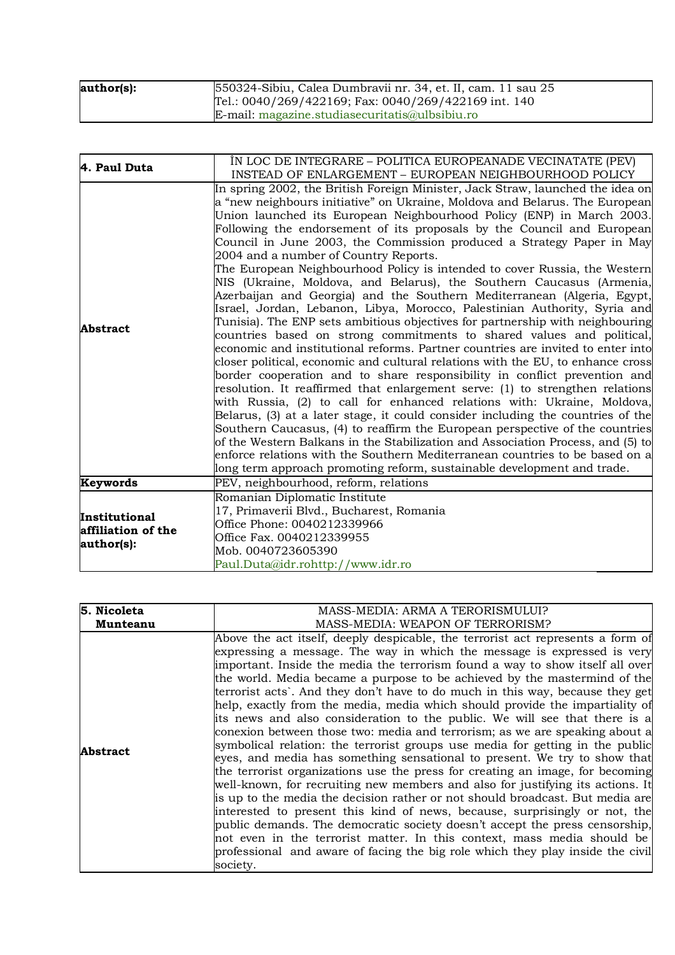| author(s): | 550324-Sibiu, Calea Dumbravii nr. 34, et. II, cam. 11 sau 25 |
|------------|--------------------------------------------------------------|
|            | Tel.: $0040/269/422169$ ; Fax: $0040/269/422169$ int. 140    |
|            | $E$ -mail: magazine.studiasecuritatis $@$ ulbsibiu.ro        |

| 4. Paul Duta                                      | ÎN LOC DE INTEGRARE – POLITICA EUROPEANADE VECINATATE (PEV)                                                                                                                                                                                                                                                                                                                                                                                                                                                                                                                                                                                                                                                                                                                                                                                                                                                                                                                                                                                                                                                                                                                                                                                                                                                                                                                                                                                                                                                                                                                                                                                                                                                                                |
|---------------------------------------------------|--------------------------------------------------------------------------------------------------------------------------------------------------------------------------------------------------------------------------------------------------------------------------------------------------------------------------------------------------------------------------------------------------------------------------------------------------------------------------------------------------------------------------------------------------------------------------------------------------------------------------------------------------------------------------------------------------------------------------------------------------------------------------------------------------------------------------------------------------------------------------------------------------------------------------------------------------------------------------------------------------------------------------------------------------------------------------------------------------------------------------------------------------------------------------------------------------------------------------------------------------------------------------------------------------------------------------------------------------------------------------------------------------------------------------------------------------------------------------------------------------------------------------------------------------------------------------------------------------------------------------------------------------------------------------------------------------------------------------------------------|
|                                                   | INSTEAD OF ENLARGEMENT - EUROPEAN NEIGHBOURHOOD POLICY                                                                                                                                                                                                                                                                                                                                                                                                                                                                                                                                                                                                                                                                                                                                                                                                                                                                                                                                                                                                                                                                                                                                                                                                                                                                                                                                                                                                                                                                                                                                                                                                                                                                                     |
| <b>Abstract</b>                                   | In spring 2002, the British Foreign Minister, Jack Straw, launched the idea on<br>a "new neighbours initiative" on Ukraine, Moldova and Belarus. The European<br>Union launched its European Neighbourhood Policy (ENP) in March 2003.<br>Following the endorsement of its proposals by the Council and European<br>Council in June 2003, the Commission produced a Strategy Paper in May<br>2004 and a number of Country Reports.<br>The European Neighbourhood Policy is intended to cover Russia, the Western<br>NIS (Ukraine, Moldova, and Belarus), the Southern Caucasus (Armenia,<br>Azerbaijan and Georgia) and the Southern Mediterranean (Algeria, Egypt,<br>Israel, Jordan, Lebanon, Libya, Morocco, Palestinian Authority, Syria and<br>Tunisia). The ENP sets ambitious objectives for partnership with neighbouring<br>countries based on strong commitments to shared values and political,<br>economic and institutional reforms. Partner countries are invited to enter into<br>closer political, economic and cultural relations with the EU, to enhance cross<br>border cooperation and to share responsibility in conflict prevention and<br>resolution. It reaffirmed that enlargement serve: (1) to strengthen relations<br>with Russia, (2) to call for enhanced relations with: Ukraine, Moldova,<br>Belarus, (3) at a later stage, it could consider including the countries of the<br>Southern Caucasus, (4) to reaffirm the European perspective of the countries<br>of the Western Balkans in the Stabilization and Association Process, and (5) to<br>enforce relations with the Southern Mediterranean countries to be based on a<br>long term approach promoting reform, sustainable development and trade. |
| Keywords                                          | PEV, neighbourhood, reform, relations                                                                                                                                                                                                                                                                                                                                                                                                                                                                                                                                                                                                                                                                                                                                                                                                                                                                                                                                                                                                                                                                                                                                                                                                                                                                                                                                                                                                                                                                                                                                                                                                                                                                                                      |
| Institutional<br>affiliation of the<br>author(s): | Romanian Diplomatic Institute<br>17, Primaverii Blvd., Bucharest, Romania<br>Office Phone: 0040212339966<br>Office Fax. 0040212339955<br>Mob. 0040723605390<br>Paul.Duta@idr.rohttp://www.idr.ro                                                                                                                                                                                                                                                                                                                                                                                                                                                                                                                                                                                                                                                                                                                                                                                                                                                                                                                                                                                                                                                                                                                                                                                                                                                                                                                                                                                                                                                                                                                                           |

| 5. Nicoleta     | MASS-MEDIA: ARMA A TERORISMULUI?                                                                                                                                                                                                                                                                                                                                                                                                                                                                                                                                                                                                                                                                                                                                                                                                                                                                                                                                                                                                                                                                                                                                                                                                                                                                                |
|-----------------|-----------------------------------------------------------------------------------------------------------------------------------------------------------------------------------------------------------------------------------------------------------------------------------------------------------------------------------------------------------------------------------------------------------------------------------------------------------------------------------------------------------------------------------------------------------------------------------------------------------------------------------------------------------------------------------------------------------------------------------------------------------------------------------------------------------------------------------------------------------------------------------------------------------------------------------------------------------------------------------------------------------------------------------------------------------------------------------------------------------------------------------------------------------------------------------------------------------------------------------------------------------------------------------------------------------------|
| Munteanu        | MASS-MEDIA: WEAPON OF TERRORISM?                                                                                                                                                                                                                                                                                                                                                                                                                                                                                                                                                                                                                                                                                                                                                                                                                                                                                                                                                                                                                                                                                                                                                                                                                                                                                |
| <b>Abstract</b> | Above the act itself, deeply despicable, the terrorist act represents a form of<br>expressing a message. The way in which the message is expressed is very<br>important. Inside the media the terrorism found a way to show itself all over<br>the world. Media became a purpose to be achieved by the mastermind of the<br>terrorist acts. And they don't have to do much in this way, because they get<br>help, exactly from the media, media which should provide the impartiality of<br>its news and also consideration to the public. We will see that there is a<br>conexion between those two: media and terrorism; as we are speaking about a<br>symbolical relation: the terrorist groups use media for getting in the public<br>eyes, and media has something sensational to present. We try to show that<br>the terrorist organizations use the press for creating an image, for becoming<br>well-known, for recruiting new members and also for justifying its actions. It<br>is up to the media the decision rather or not should broadcast. But media are<br>interested to present this kind of news, because, surprisingly or not, the<br>public demands. The democratic society doesn't accept the press censorship,<br>not even in the terrorist matter. In this context, mass media should be |
|                 | professional and aware of facing the big role which they play inside the civil<br>society.                                                                                                                                                                                                                                                                                                                                                                                                                                                                                                                                                                                                                                                                                                                                                                                                                                                                                                                                                                                                                                                                                                                                                                                                                      |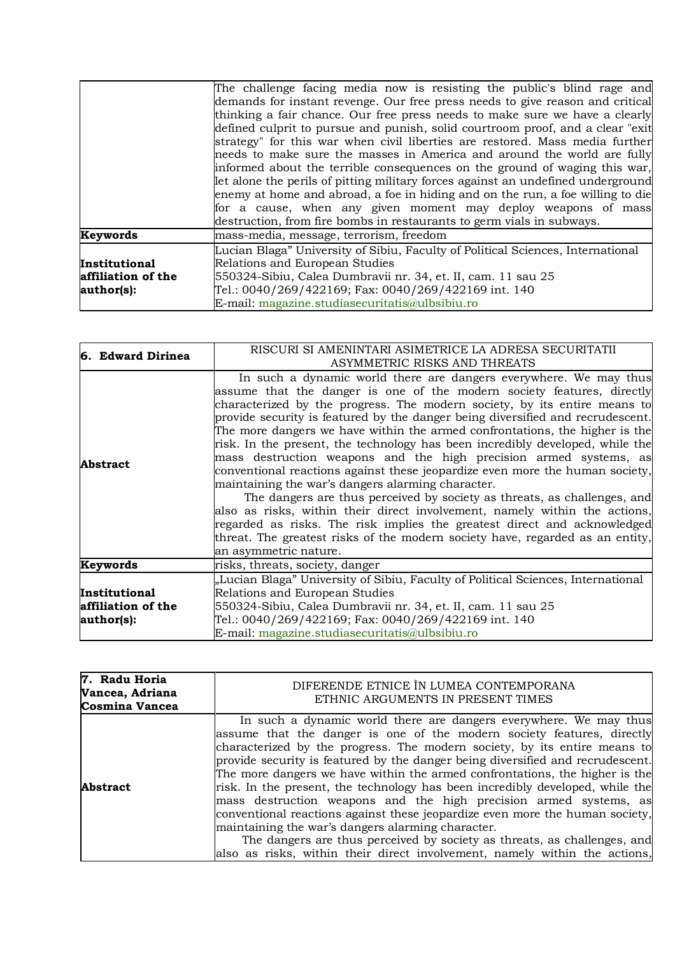|                    | The challenge facing media now is resisting the public's blind rage and          |
|--------------------|----------------------------------------------------------------------------------|
|                    | demands for instant revenge. Our free press needs to give reason and critical    |
|                    | thinking a fair chance. Our free press needs to make sure we have a clearly      |
|                    | defined culprit to pursue and punish, solid courtroom proof, and a clear "exit   |
|                    | strategy" for this war when civil liberties are restored. Mass media further     |
|                    | needs to make sure the masses in America and around the world are fully          |
|                    | informed about the terrible consequences on the ground of waging this war,       |
|                    | let alone the perils of pitting military forces against an undefined underground |
|                    | enemy at home and abroad, a foe in hiding and on the run, a foe willing to die   |
|                    | for a cause, when any given moment may deploy weapons of mass                    |
|                    | destruction, from fire bombs in restaurants to germ vials in subways.            |
| Keywords           | mass-media, message, terrorism, freedom                                          |
|                    | Lucian Blaga" University of Sibiu, Faculty of Political Sciences, International  |
| Institutional      | Relations and European Studies                                                   |
| affiliation of the | 550324-Sibiu, Calea Dumbravii nr. 34, et. II, cam. 11 sau 25                     |
| author(s):         | Tel.: 0040/269/422169; Fax: 0040/269/422169 int. 140                             |
|                    | E-mail: magazine.studiasecuritatis@ulbsibiu.ro                                   |

| 6. Edward Dirinea  | RISCURI SI AMENINTARI ASIMETRICE LA ADRESA SECURITATII<br>ASYMMETRIC RISKS AND THREATS                                                                                                                                                                                                                                                                                                                                                                                                                                                                                                                                                                                                                                                                                                                                                                                                                                                                                                                                               |
|--------------------|--------------------------------------------------------------------------------------------------------------------------------------------------------------------------------------------------------------------------------------------------------------------------------------------------------------------------------------------------------------------------------------------------------------------------------------------------------------------------------------------------------------------------------------------------------------------------------------------------------------------------------------------------------------------------------------------------------------------------------------------------------------------------------------------------------------------------------------------------------------------------------------------------------------------------------------------------------------------------------------------------------------------------------------|
| <b>Abstract</b>    | In such a dynamic world there are dangers everywhere. We may thus<br>assume that the danger is one of the modern society features, directly<br>characterized by the progress. The modern society, by its entire means to<br>provide security is featured by the danger being diversified and recrudescent.<br>The more dangers we have within the armed confrontations, the higher is the<br>risk. In the present, the technology has been incredibly developed, while the<br>mass destruction weapons and the high precision armed systems, as<br>conventional reactions against these jeopardize even more the human society,<br>maintaining the war's dangers alarming character.<br>The dangers are thus perceived by society as threats, as challenges, and<br>also as risks, within their direct involvement, namely within the actions,<br>regarded as risks. The risk implies the greatest direct and acknowledged<br>threat. The greatest risks of the modern society have, regarded as an entity,<br>an asymmetric nature. |
| Keywords           | risks, threats, society, danger                                                                                                                                                                                                                                                                                                                                                                                                                                                                                                                                                                                                                                                                                                                                                                                                                                                                                                                                                                                                      |
|                    | "Lucian Blaga" University of Sibiu, Faculty of Political Sciences, International                                                                                                                                                                                                                                                                                                                                                                                                                                                                                                                                                                                                                                                                                                                                                                                                                                                                                                                                                     |
| Institutional      | Relations and European Studies                                                                                                                                                                                                                                                                                                                                                                                                                                                                                                                                                                                                                                                                                                                                                                                                                                                                                                                                                                                                       |
| affiliation of the | 550324-Sibiu, Calea Dumbravii nr. 34, et. II, cam. 11 sau 25                                                                                                                                                                                                                                                                                                                                                                                                                                                                                                                                                                                                                                                                                                                                                                                                                                                                                                                                                                         |
| author(s):         | Tel.: 0040/269/422169; Fax: 0040/269/422169 int. 140                                                                                                                                                                                                                                                                                                                                                                                                                                                                                                                                                                                                                                                                                                                                                                                                                                                                                                                                                                                 |
|                    | E-mail: magazine.studiasecuritatis@ulbsibiu.ro                                                                                                                                                                                                                                                                                                                                                                                                                                                                                                                                                                                                                                                                                                                                                                                                                                                                                                                                                                                       |

| 7. Radu Horia<br>Vancea, Adriana<br><b>Cosmina Vancea</b> | DIFERENDE ETNICE ÎN LUMEA CONTEMPORANA<br>ETHNIC ARGUMENTS IN PRESENT TIMES                                                                                                                                                                                                                                                                                                                                                                                                                                                                                                                                                                                                                                                                                                                                                                    |
|-----------------------------------------------------------|------------------------------------------------------------------------------------------------------------------------------------------------------------------------------------------------------------------------------------------------------------------------------------------------------------------------------------------------------------------------------------------------------------------------------------------------------------------------------------------------------------------------------------------------------------------------------------------------------------------------------------------------------------------------------------------------------------------------------------------------------------------------------------------------------------------------------------------------|
| <b>Abstract</b>                                           | In such a dynamic world there are dangers everywhere. We may thus<br>assume that the danger is one of the modern society features, directly<br>characterized by the progress. The modern society, by its entire means to<br>provide security is featured by the danger being diversified and recrudescent.<br>The more dangers we have within the armed confrontations, the higher is the<br>risk. In the present, the technology has been incredibly developed, while the<br>mass destruction weapons and the high precision armed systems, as<br>conventional reactions against these jeopardize even more the human society,<br>maintaining the war's dangers alarming character.<br>The dangers are thus perceived by society as threats, as challenges, and<br>also as risks, within their direct involvement, namely within the actions, |